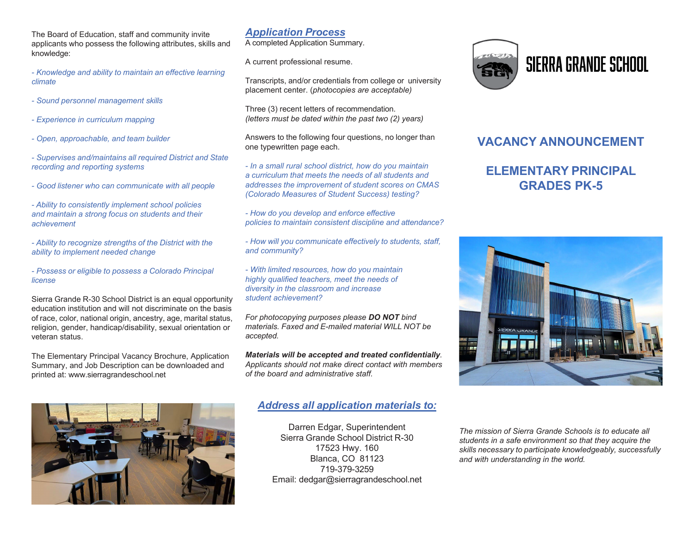The Board of Education, staff and community invite applicants who possess the following attributes, skills and knowledge:

*- Knowledge and ability to maintain an effective learning climate*

- *- Sound personnel management skills*
- *- Experience in curriculum mapping*
- *- Open, approachable, and team builder*
- *- Supervises and/maintains all required District and State recording and reporting systems*
- *- Good listener who can communicate with all people*

*- Ability to consistently implement school policies and maintain a strong focus on students and their achievement*

*- Ability to recognize strengths of the District with the ability to implement needed change*

*- Possess or eligible to possess a Colorado Principal license*

Sierra Grande R-30 School District is an equal opportunity education institution and will not discriminate on the basis of race, color, national origin, ancestry, age, marital status, religion, gender, handicap/disability, sexual orientation or veteran status.

The Elementary Principal Vacancy Brochure, Application Summary, and Job Description can be downloaded and printed at: [www.sierragrandeschool.net](http://www.sierragrandeschool.net/)

### *Application Process*

A completed Application Summary.

A current professional resume.

Transcripts, and/or credentials from college or university placement center. (*photocopies are acceptable)*

Three (3) recent letters of recommendation. *(letters must be dated within the past two (2) years)*

Answers to the following four questions, no longer than one typewritten page each.

*- In a small rural school district, how do you maintain a curriculum that meets the needs of all students and addresses the improvement of student scores on CMAS (Colorado Measures of Student Success) testing?*

*- How do you develop and enforce effective policies to maintain consistent discipline and attendance?*

*- How will you communicate effectively to students, staff, and community?*

*- With limited resources, how do you maintain highly qualified teachers, meet the needs of diversity in the classroom and increase student achievement?*

*For photocopying purposes please DO NOT bind materials. Faxed and E-mailed material WILL NOT be accepted.*

*Materials will be accepted and treated confidentially. Applicants should not make direct contact with members of the board and administrative staff.*

### *Address all application materials to:*

Darren Edgar, Superintendent Sierra Grande School District R-30 17523 Hwy. 160 Blanca, CO 81123 719-379-3259 Email: [dedgar@sierragrandeschool.net](mailto:dedgar@sierragrandeschool.net)



# **SIERRA GRANDE SCHOOL**

## **VACANCY ANNOUNCEMENT**

## **ELEMENTARY PRINCIPAL GRADES PK-5**



*The mission of Sierra Grande Schools is to educate all students in a safe environment so that they acquire the skills necessary to participate knowledgeably, successfully and with understanding in the world.*